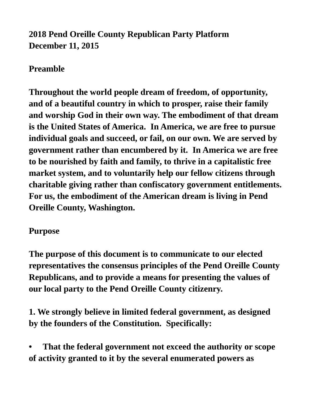# **2018 Pend Oreille County Republican Party Platform December 11, 2015**

## **Preamble**

**Throughout the world people dream of freedom, of opportunity, and of a beautiful country in which to prosper, raise their family and worship God in their own way. The embodiment of that dream is the United States of America. In America, we are free to pursue individual goals and succeed, or fail, on our own. We are served by government rather than encumbered by it. In America we are free to be nourished by faith and family, to thrive in a capitalistic free market system, and to voluntarily help our fellow citizens through charitable giving rather than confiscatory government entitlements. For us, the embodiment of the American dream is living in Pend Oreille County, Washington.**

#### **Purpose**

**The purpose of this document is to communicate to our elected representatives the consensus principles of the Pend Oreille County Republicans, and to provide a means for presenting the values of our local party to the Pend Oreille County citizenry.**

**1. We strongly believe in limited federal government, as designed by the founders of the Constitution. Specifically:**

**• That the federal government not exceed the authority or scope of activity granted to it by the several enumerated powers as**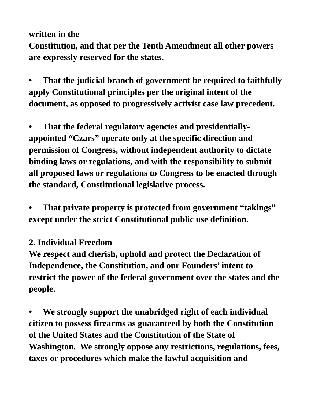#### **written in the**

**Constitution, and that per the Tenth Amendment all other powers are expressly reserved for the states.**

**• That the judicial branch of government be required to faithfully apply Constitutional principles per the original intent of the document, as opposed to progressively activist case law precedent.**

**• That the federal regulatory agencies and presidentiallyappointed "Czars" operate only at the specific direction and permission of Congress, without independent authority to dictate binding laws or regulations, and with the responsibility to submit all proposed laws or regulations to Congress to be enacted through the standard, Constitutional legislative process.**

**• That private property is protected from government "takings" except under the strict Constitutional public use definition.**

## **2. Individual Freedom**

**We respect and cherish, uphold and protect the Declaration of Independence, the Constitution, and our Founders' intent to restrict the power of the federal government over the states and the people.**

**• We strongly support the unabridged right of each individual citizen to possess firearms as guaranteed by both the Constitution of the United States and the Constitution of the State of Washington. We strongly oppose any restrictions, regulations, fees, taxes or procedures which make the lawful acquisition and**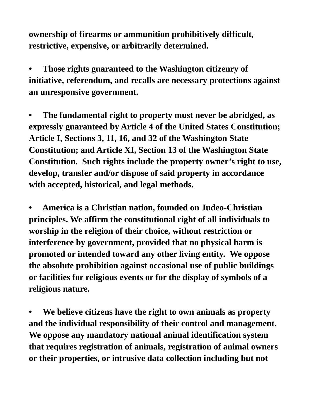**ownership of firearms or ammunition prohibitively difficult, restrictive, expensive, or arbitrarily determined.**

**• Those rights guaranteed to the Washington citizenry of initiative, referendum, and recalls are necessary protections against an unresponsive government.**

**• The fundamental right to property must never be abridged, as expressly guaranteed by Article 4 of the United States Constitution; Article I, Sections 3, 11, 16, and 32 of the Washington State Constitution; and Article XI, Section 13 of the Washington State Constitution. Such rights include the property owner's right to use, develop, transfer and/or dispose of said property in accordance with accepted, historical, and legal methods.**

**• America is a Christian nation, founded on Judeo-Christian principles. We affirm the constitutional right of all individuals to worship in the religion of their choice, without restriction or interference by government, provided that no physical harm is promoted or intended toward any other living entity. We oppose the absolute prohibition against occasional use of public buildings or facilities for religious events or for the display of symbols of a religious nature.**

**• We believe citizens have the right to own animals as property and the individual responsibility of their control and management. We oppose any mandatory national animal identification system that requires registration of animals, registration of animal owners or their properties, or intrusive data collection including but not**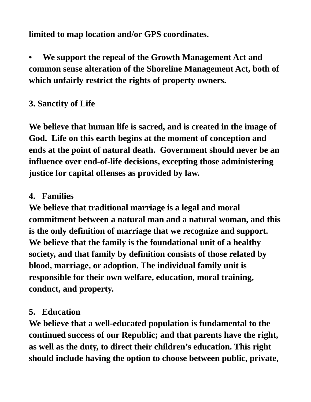**limited to map location and/or GPS coordinates.**

**• We support the repeal of the Growth Management Act and common sense alteration of the Shoreline Management Act, both of which unfairly restrict the rights of property owners.**

## **3. Sanctity of Life**

**We believe that human life is sacred, and is created in the image of God. Life on this earth begins at the moment of conception and ends at the point of natural death. Government should never be an influence over end-of-life decisions, excepting those administering justice for capital offenses as provided by law.**

#### **4. Families**

**We believe that traditional marriage is a legal and moral commitment between a natural man and a natural woman, and this is the only definition of marriage that we recognize and support. We believe that the family is the foundational unit of a healthy society, and that family by definition consists of those related by blood, marriage, or adoption. The individual family unit is responsible for their own welfare, education, moral training, conduct, and property.**

#### **5. Education**

**We believe that a well-educated population is fundamental to the continued success of our Republic; and that parents have the right, as well as the duty, to direct their children's education. This right should include having the option to choose between public, private,**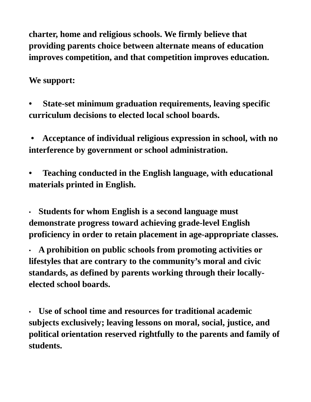**charter, home and religious schools. We firmly believe that providing parents choice between alternate means of education improves competition, and that competition improves education.**

### **We support:**

**• State-set minimum graduation requirements, leaving specific curriculum decisions to elected local school boards.**

**• Acceptance of individual religious expression in school, with no interference by government or school administration.**

**• Teaching conducted in the English language, with educational materials printed in English.**

• **Students for whom English is a second language must demonstrate progress toward achieving grade-level English proficiency in order to retain placement in age-appropriate classes.**

• **A prohibition on public schools from promoting activities or lifestyles that are contrary to the community's moral and civic standards, as defined by parents working through their locallyelected school boards.**

• **Use of school time and resources for traditional academic subjects exclusively; leaving lessons on moral, social, justice, and political orientation reserved rightfully to the parents and family of students.**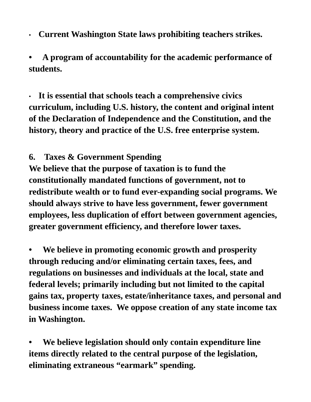• **Current Washington State laws prohibiting teachers strikes.**

**• A program of accountability for the academic performance of students.**

• **It is essential that schools teach a comprehensive civics curriculum, including U.S. history, the content and original intent of the Declaration of Independence and the Constitution, and the history, theory and practice of the U.S. free enterprise system.**

#### **6. Taxes & Government Spending**

**We believe that the purpose of taxation is to fund the constitutionally mandated functions of government, not to redistribute wealth or to fund ever-expanding social programs. We should always strive to have less government, fewer government employees, less duplication of effort between government agencies, greater government efficiency, and therefore lower taxes.**

**• We believe in promoting economic growth and prosperity through reducing and/or eliminating certain taxes, fees, and regulations on businesses and individuals at the local, state and federal levels; primarily including but not limited to the capital gains tax, property taxes, estate/inheritance taxes, and personal and business income taxes. We oppose creation of any state income tax in Washington.**

**• We believe legislation should only contain expenditure line items directly related to the central purpose of the legislation, eliminating extraneous "earmark" spending.**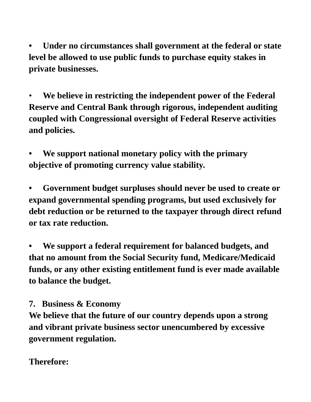**• Under no circumstances shall government at the federal or state level be allowed to use public funds to purchase equity stakes in private businesses.**

• **We believe in restricting the independent power of the Federal Reserve and Central Bank through rigorous, independent auditing coupled with Congressional oversight of Federal Reserve activities and policies.**

**• We support national monetary policy with the primary objective of promoting currency value stability.**

**• Government budget surpluses should never be used to create or expand governmental spending programs, but used exclusively for debt reduction or be returned to the taxpayer through direct refund or tax rate reduction.**

**• We support a federal requirement for balanced budgets, and that no amount from the Social Security fund, Medicare/Medicaid funds, or any other existing entitlement fund is ever made available to balance the budget.**

#### **7. Business & Economy**

**We believe that the future of our country depends upon a strong and vibrant private business sector unencumbered by excessive government regulation.**

## **Therefore:**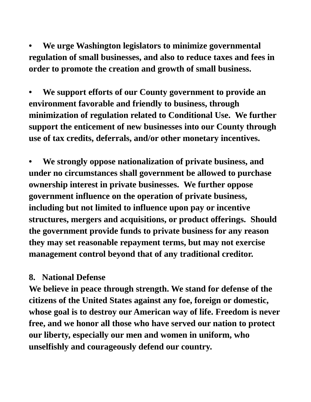**• We urge Washington legislators to minimize governmental regulation of small businesses, and also to reduce taxes and fees in order to promote the creation and growth of small business.**

**• We support efforts of our County government to provide an environment favorable and friendly to business, through minimization of regulation related to Conditional Use. We further support the enticement of new businesses into our County through use of tax credits, deferrals, and/or other monetary incentives.**

**• We strongly oppose nationalization of private business, and under no circumstances shall government be allowed to purchase ownership interest in private businesses. We further oppose government influence on the operation of private business, including but not limited to influence upon pay or incentive structures, mergers and acquisitions, or product offerings. Should the government provide funds to private business for any reason they may set reasonable repayment terms, but may not exercise management control beyond that of any traditional creditor.**

#### **8. National Defense**

**We believe in peace through strength. We stand for defense of the citizens of the United States against any foe, foreign or domestic, whose goal is to destroy our American way of life. Freedom is never free, and we honor all those who have served our nation to protect our liberty, especially our men and women in uniform, who unselfishly and courageously defend our country.**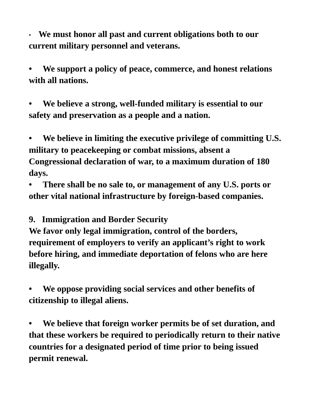• **We must honor all past and current obligations both to our current military personnel and veterans.**

**• We support a policy of peace, commerce, and honest relations with all nations.**

**• We believe a strong, well-funded military is essential to our safety and preservation as a people and a nation.**

**• We believe in limiting the executive privilege of committing U.S. military to peacekeeping or combat missions, absent a Congressional declaration of war, to a maximum duration of 180 days.**

**• There shall be no sale to, or management of any U.S. ports or other vital national infrastructure by foreign-based companies.**

**9. Immigration and Border Security**

**We favor only legal immigration, control of the borders, requirement of employers to verify an applicant's right to work before hiring, and immediate deportation of felons who are here illegally.**

**• We oppose providing social services and other benefits of citizenship to illegal aliens.**

**• We believe that foreign worker permits be of set duration, and that these workers be required to periodically return to their native countries for a designated period of time prior to being issued permit renewal.**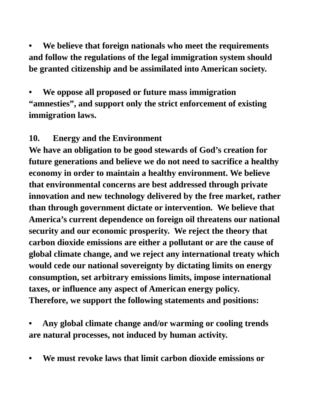**• We believe that foreign nationals who meet the requirements and follow the regulations of the legal immigration system should be granted citizenship and be assimilated into American society.**

**• We oppose all proposed or future mass immigration "amnesties", and support only the strict enforcement of existing immigration laws.**

#### **10. Energy and the Environment**

**We have an obligation to be good stewards of God's creation for future generations and believe we do not need to sacrifice a healthy economy in order to maintain a healthy environment. We believe that environmental concerns are best addressed through private innovation and new technology delivered by the free market, rather than through government dictate or intervention. We believe that America's current dependence on foreign oil threatens our national security and our economic prosperity. We reject the theory that carbon dioxide emissions are either a pollutant or are the cause of global climate change, and we reject any international treaty which would cede our national sovereignty by dictating limits on energy consumption, set arbitrary emissions limits, impose international taxes, or influence any aspect of American energy policy. Therefore, we support the following statements and positions:**

**• Any global climate change and/or warming or cooling trends are natural processes, not induced by human activity.**

**• We must revoke laws that limit carbon dioxide emissions or**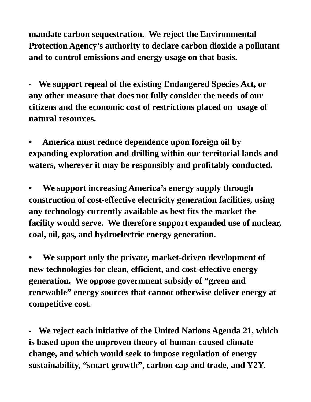**mandate carbon sequestration. We reject the Environmental Protection Agency's authority to declare carbon dioxide a pollutant and to control emissions and energy usage on that basis.**

• **We support repeal of the existing Endangered Species Act, or any other measure that does not fully consider the needs of our citizens and the economic cost of restrictions placed on usage of natural resources.**

**• America must reduce dependence upon foreign oil by expanding exploration and drilling within our territorial lands and waters, wherever it may be responsibly and profitably conducted.**

**• We support increasing America's energy supply through construction of cost-effective electricity generation facilities, using any technology currently available as best fits the market the facility would serve. We therefore support expanded use of nuclear, coal, oil, gas, and hydroelectric energy generation.**

**• We support only the private, market-driven development of new technologies for clean, efficient, and cost-effective energy generation. We oppose government subsidy of "green and renewable" energy sources that cannot otherwise deliver energy at competitive cost.**

• **We reject each initiative of the United Nations Agenda 21, which is based upon the unproven theory of human-caused climate change, and which would seek to impose regulation of energy sustainability, "smart growth", carbon cap and trade, and Y2Y.**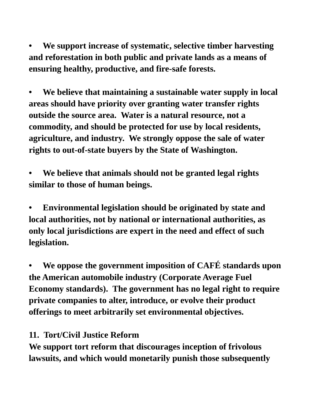**• We support increase of systematic, selective timber harvesting and reforestation in both public and private lands as a means of ensuring healthy, productive, and fire-safe forests.**

**• We believe that maintaining a sustainable water supply in local areas should have priority over granting water transfer rights outside the source area. Water is a natural resource, not a commodity, and should be protected for use by local residents, agriculture, and industry. We strongly oppose the sale of water rights to out-of-state buyers by the State of Washington.**

**• We believe that animals should not be granted legal rights similar to those of human beings.**

**• Environmental legislation should be originated by state and local authorities, not by national or international authorities, as only local jurisdictions are expert in the need and effect of such legislation.**

**• We oppose the government imposition of CAFÉ standards upon the American automobile industry (Corporate Average Fuel Economy standards). The government has no legal right to require private companies to alter, introduce, or evolve their product offerings to meet arbitrarily set environmental objectives.**

#### **11. Tort/Civil Justice Reform**

**We support tort reform that discourages inception of frivolous lawsuits, and which would monetarily punish those subsequently**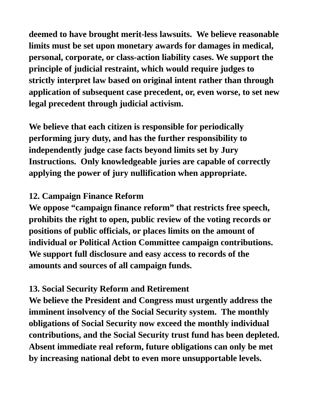**deemed to have brought merit-less lawsuits. We believe reasonable limits must be set upon monetary awards for damages in medical, personal, corporate, or class-action liability cases. We support the principle of judicial restraint, which would require judges to strictly interpret law based on original intent rather than through application of subsequent case precedent, or, even worse, to set new legal precedent through judicial activism.**

**We believe that each citizen is responsible for periodically performing jury duty, and has the further responsibility to independently judge case facts beyond limits set by Jury Instructions. Only knowledgeable juries are capable of correctly applying the power of jury nullification when appropriate.**

## **12. Campaign Finance Reform**

**We oppose "campaign finance reform" that restricts free speech, prohibits the right to open, public review of the voting records or positions of public officials, or places limits on the amount of individual or Political Action Committee campaign contributions. We support full disclosure and easy access to records of the amounts and sources of all campaign funds.**

# **13. Social Security Reform and Retirement**

**We believe the President and Congress must urgently address the imminent insolvency of the Social Security system. The monthly obligations of Social Security now exceed the monthly individual contributions, and the Social Security trust fund has been depleted. Absent immediate real reform, future obligations can only be met by increasing national debt to even more unsupportable levels.**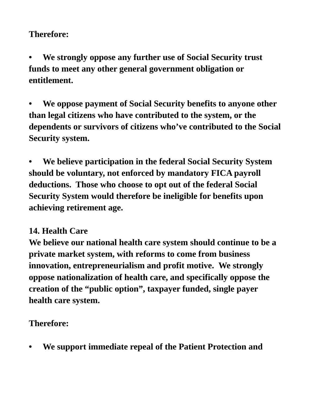## **Therefore:**

**• We strongly oppose any further use of Social Security trust funds to meet any other general government obligation or entitlement.**

**• We oppose payment of Social Security benefits to anyone other than legal citizens who have contributed to the system, or the dependents or survivors of citizens who've contributed to the Social Security system.**

**• We believe participation in the federal Social Security System should be voluntary, not enforced by mandatory FICA payroll deductions. Those who choose to opt out of the federal Social Security System would therefore be ineligible for benefits upon achieving retirement age.**

## **14. Health Care**

**We believe our national health care system should continue to be a private market system, with reforms to come from business innovation, entrepreneurialism and profit motive. We strongly oppose nationalization of health care, and specifically oppose the creation of the "public option", taxpayer funded, single payer health care system.**

## **Therefore:**

**• We support immediate repeal of the Patient Protection and**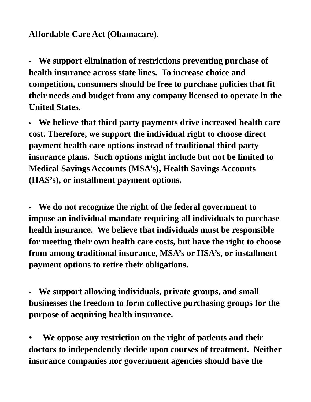### **Affordable Care Act (Obamacare).**

• **We support elimination of restrictions preventing purchase of health insurance across state lines. To increase choice and competition, consumers should be free to purchase policies that fit their needs and budget from any company licensed to operate in the United States.**

• **We believe that third party payments drive increased health care cost. Therefore, we support the individual right to choose direct payment health care options instead of traditional third party insurance plans. Such options might include but not be limited to Medical Savings Accounts (MSA's), Health Savings Accounts (HAS's), or installment payment options.**

• **We do not recognize the right of the federal government to impose an individual mandate requiring all individuals to purchase health insurance. We believe that individuals must be responsible for meeting their own health care costs, but have the right to choose from among traditional insurance, MSA's or HSA's, or installment payment options to retire their obligations.**

• **We support allowing individuals, private groups, and small businesses the freedom to form collective purchasing groups for the purpose of acquiring health insurance.**

**• We oppose any restriction on the right of patients and their doctors to independently decide upon courses of treatment. Neither insurance companies nor government agencies should have the**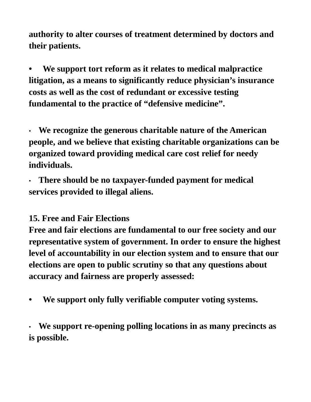**authority to alter courses of treatment determined by doctors and their patients.**

**• We support tort reform as it relates to medical malpractice litigation, as a means to significantly reduce physician's insurance costs as well as the cost of redundant or excessive testing fundamental to the practice of "defensive medicine".**

• **We recognize the generous charitable nature of the American people, and we believe that existing charitable organizations can be organized toward providing medical care cost relief for needy individuals.**

• **There should be no taxpayer-funded payment for medical services provided to illegal aliens.**

## **15. Free and Fair Elections**

**Free and fair elections are fundamental to our free society and our representative system of government. In order to ensure the highest level of accountability in our election system and to ensure that our elections are open to public scrutiny so that any questions about accuracy and fairness are properly assessed:**

**• We support only fully verifiable computer voting systems.**

• **We support re-opening polling locations in as many precincts as is possible.**